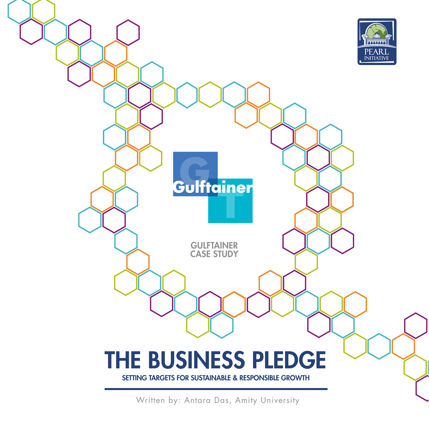

Written by: Antara Das, Amity University